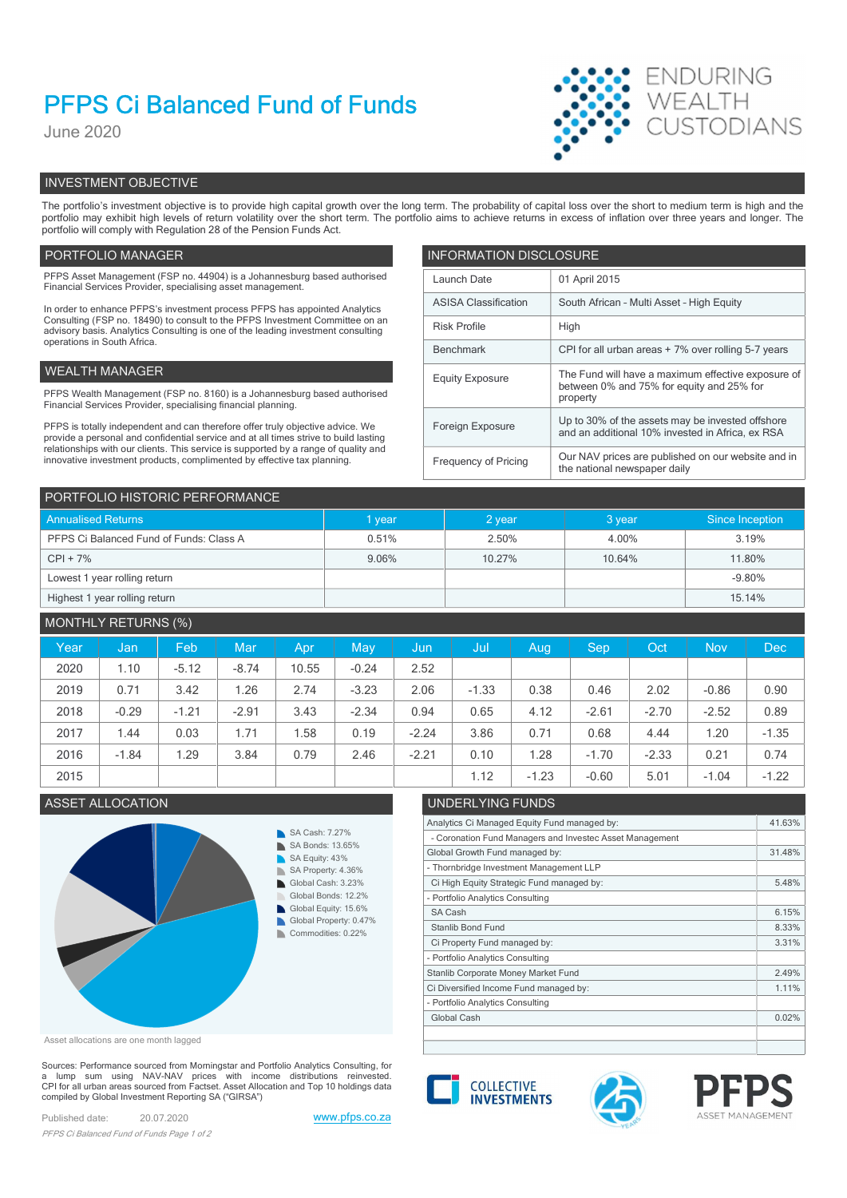# PFPS Ci Balanced Fund of Funds

June 2020



# INVESTMENT OBJECTIVE

The portfolio's investment objective is to provide high capital growth over the long term. The probability of capital loss over the short to medium term is high and the portfolio may exhibit high levels of return volatility over the short term. The portfolio aims to achieve returns in excess of inflation over three years and longer. The portfolio will comply with Regulation 28 of the Pension Funds Act.

## PORTFOLIO MANAGER **INFORMATION DISCLOSURE**

| PFPS Asset Management (FSP no. 44904) is a Johannesburg based authorised<br>Financial Services Provider, specialising asset management.                                | Launch Date                 | 01 April 2015                                                                                        |
|------------------------------------------------------------------------------------------------------------------------------------------------------------------------|-----------------------------|------------------------------------------------------------------------------------------------------|
| In order to enhance PFPS's investment process PFPS has appointed Analytics                                                                                             | <b>ASISA Classification</b> | South African - Multi Asset - High Equity                                                            |
| Consulting (FSP no. 18490) to consult to the PFPS Investment Committee on an<br>advisory basis. Analytics Consulting is one of the leading investment consulting       | <b>Risk Profile</b><br>High |                                                                                                      |
| operations in South Africa.                                                                                                                                            | Benchmark                   | CPI for all urban areas + 7% over rolling 5-7 years                                                  |
| WEALTH MANAGER                                                                                                                                                         | <b>Equity Exposure</b>      | The Fund will have a maximum effective exposure of                                                   |
| PFPS Wealth Management (FSP no. 8160) is a Johannesburg based authorised<br>Financial Services Provider, specialising financial planning.                              |                             | between 0% and 75% for equity and 25% for<br>property                                                |
| PFPS is totally independent and can therefore offer truly objective advice. We<br>provide a personal and confidential service and at all times strive to build lasting | Foreign Exposure            | Up to 30% of the assets may be invested offshore<br>and an additional 10% invested in Africa, ex RSA |
| relationships with our clients. This service is supported by a range of quality and<br>innovative investment products, complimented by effective tax planning.         | Frequency of Pricing        | Our NAV prices are published on our website and in<br>the national newspaper daily                   |

| PORTFOLIO HISTORIC PERFORMANCE          |        |          |        |                 |  |  |  |
|-----------------------------------------|--------|----------|--------|-----------------|--|--|--|
| <b>Annualised Returns</b>               | I year | $2$ year | 3 year | Since Inception |  |  |  |
| PFPS Ci Balanced Fund of Funds: Class A | 0.51%  | 2.50%    | 4.00%  | 3.19%           |  |  |  |
| $CPI + 7%$                              | 9.06%  | 10.27%   | 10.64% | 11.80%          |  |  |  |
| Lowest 1 year rolling return            |        |          |        | $-9.80%$        |  |  |  |
| Highest 1 year rolling return           |        |          |        | 15.14%          |  |  |  |

# MONTHLY RETURNS (%)

| Year | Jan/    | Feb     | Mar     | Apr   | May     | Jun     | 'Jul    | Aug     | <b>Sep</b> | Oct     | <b>Nov</b> | Dec     |
|------|---------|---------|---------|-------|---------|---------|---------|---------|------------|---------|------------|---------|
| 2020 | 1.10    | $-5.12$ | $-8.74$ | 10.55 | $-0.24$ | 2.52    |         |         |            |         |            |         |
| 2019 | 0.71    | 3.42    | 1.26    | 2.74  | $-3.23$ | 2.06    | $-1.33$ | 0.38    | 0.46       | 2.02    | $-0.86$    | 0.90    |
| 2018 | $-0.29$ | $-1.21$ | $-2.91$ | 3.43  | $-2.34$ | 0.94    | 0.65    | 4.12    | $-2.61$    | $-2.70$ | $-2.52$    | 0.89    |
| 2017 | 1.44    | 0.03    | 1.71    | .58   | 0.19    | $-2.24$ | 3.86    | 0.71    | 0.68       | 4.44    | 1.20       | $-1.35$ |
| 2016 | $-1.84$ | .29     | 3.84    | 0.79  | 2.46    | $-2.21$ | 0.10    | 1.28    | $-1.70$    | $-2.33$ | 0.21       | 0.74    |
| 2015 |         |         |         |       |         |         | 1.12    | $-1.23$ | $-0.60$    | 5.01    | $-1.04$    | $-1.22$ |

# ASSET ALLOCATION



| UNDERLYING FUNDS                                         |        |
|----------------------------------------------------------|--------|
| Analytics Ci Managed Equity Fund managed by:             | 41.63% |
| - Coronation Fund Managers and Investec Asset Management |        |
| Global Growth Fund managed by:                           | 31.48% |
| - Thornbridge Investment Management LLP                  |        |
| Ci High Equity Strategic Fund managed by:                | 5.48%  |
| - Portfolio Analytics Consulting                         |        |
| SA Cash                                                  | 6.15%  |
| Stanlib Bond Fund                                        | 8.33%  |
| Ci Property Fund managed by:                             | 3.31%  |
| - Portfolio Analytics Consulting                         |        |
| Stanlib Corporate Money Market Fund                      | 2.49%  |
| Ci Diversified Income Fund managed by:                   | 1.11%  |
| - Portfolio Analytics Consulting                         |        |
| Global Cash                                              | 0.02%  |
|                                                          |        |

Asset allocations are one month lagged

Sources: Performance sourced from Morningstar and Portfolio Analytics Consulting, for a lump sum using NAV-NAV prices with income distributions reinvested.<br>CPI for all urban areas sourced from Factset. Asset Allocation and Top 10 holdings data compiled by Global Investment Reporting SA ("GIRSA")

Published date: 20.07.2020 www.pfps.co.za PFPS Ci Balanced Fund of Funds Page 1 of 2